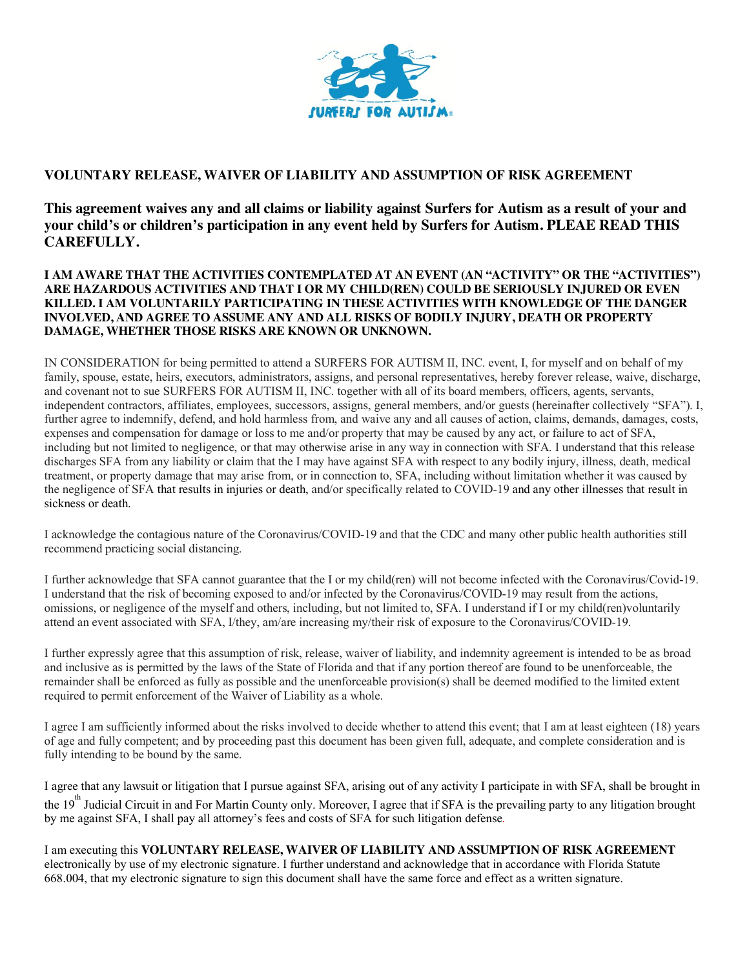

## **VOLUNTARY RELEASE, WAIVER OF LIABILITY AND ASSUMPTION OF RISK AGREEMENT**

**This agreement waives any and all claims or liability against Surfers for Autism as a result of your and your child's or children's participation in any event held by Surfers for Autism. PLEAE READ THIS CAREFULLY.**

## **I AM AWARE THAT THE ACTIVITIES CONTEMPLATED AT AN EVENT (AN "ACTIVITY" OR THE "ACTIVITIES") ARE HAZARDOUS ACTIVITIES AND THAT I OR MY CHILD(REN) COULD BE SERIOUSLY INJURED OR EVEN KILLED. I AM VOLUNTARILY PARTICIPATING IN THESE ACTIVITIES WITH KNOWLEDGE OF THE DANGER INVOLVED, AND AGREE TO ASSUME ANY AND ALL RISKS OF BODILY INJURY, DEATH OR PROPERTY DAMAGE, WHETHER THOSE RISKS ARE KNOWN OR UNKNOWN.**

IN CONSIDERATION for being permitted to attend a SURFERS FOR AUTISM II, INC. event, I, for myself and on behalf of my family, spouse, estate, heirs, executors, administrators, assigns, and personal representatives, hereby forever release, waive, discharge, and covenant not to sue SURFERS FOR AUTISM II, INC. together with all of its board members, officers, agents, servants, independent contractors, affiliates, employees, successors, assigns, general members, and/or guests (hereinafter collectively "SFA"). I, further agree to indemnify, defend, and hold harmless from, and waive any and all causes of action, claims, demands, damages, costs, expenses and compensation for damage or loss to me and/or property that may be caused by any act, or failure to act of SFA, including but not limited to negligence, or that may otherwise arise in any way in connection with SFA. I understand that this release discharges SFA from any liability or claim that the I may have against SFA with respect to any bodily injury, illness, death, medical treatment, or property damage that may arise from, or in connection to, SFA, including without limitation whether it was caused by the negligence of SFA that results in injuries or death, and/or specifically related to COVID-19 and any other illnesses that result in sickness or death.

I acknowledge the contagious nature of the Coronavirus/COVID-19 and that the CDC and many other public health authorities still recommend practicing social distancing.

I further acknowledge that SFA cannot guarantee that the I or my child(ren) will not become infected with the Coronavirus/Covid-19. I understand that the risk of becoming exposed to and/or infected by the Coronavirus/COVID-19 may result from the actions, omissions, or negligence of the myself and others, including, but not limited to, SFA. I understand if I or my child(ren)voluntarily attend an event associated with SFA, I/they, am/are increasing my/their risk of exposure to the Coronavirus/COVID-19.

I further expressly agree that this assumption of risk, release, waiver of liability, and indemnity agreement is intended to be as broad and inclusive as is permitted by the laws of the State of Florida and that if any portion thereof are found to be unenforceable, the remainder shall be enforced as fully as possible and the unenforceable provision(s) shall be deemed modified to the limited extent required to permit enforcement of the Waiver of Liability as a whole.

I agree I am sufficiently informed about the risks involved to decide whether to attend this event; that I am at least eighteen (18) years of age and fully competent; and by proceeding past this document has been given full, adequate, and complete consideration and is fully intending to be bound by the same.

I agree that any lawsuit or litigation that I pursue against SFA, arising out of any activity I participate in with SFA, shall be brought in the 19<sup>th</sup> Judicial Circuit in and For Martin County only. Moreover, I agree that if SFA is the prevailing party to any litigation brought by me against SFA, I shall pay all attorney's fees and costs of SFA for such litigation defense.

I am executing this **VOLUNTARY RELEASE, WAIVER OF LIABILITY AND ASSUMPTION OF RISK AGREEMENT**  electronically by use of my electronic signature. I further understand and acknowledge that in accordance with Florida Statute 668.004, that my electronic signature to sign this document shall have the same force and effect as a written signature.